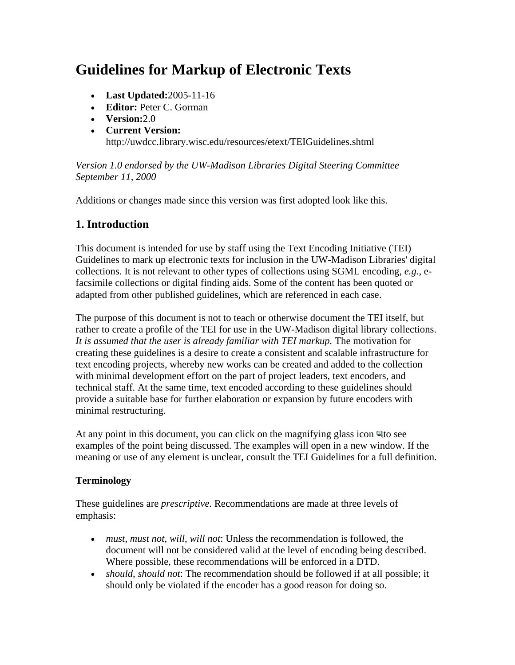# **Guidelines for Markup of Electronic Texts**

- **Last Updated:**2005-11-16
- **Editor:** Peter C. Gorman
- **Version:**2.0
- **Current Version:**  http://uwdcc.library.wisc.edu/resources/etext/TEIGuidelines.shtml

*Version 1.0 endorsed by the UW-Madison Libraries Digital Steering Committee September 11, 2000*

Additions or changes made since this version was first adopted look like this.

# **1. Introduction**

This document is intended for use by staff using the Text Encoding Initiative (TEI) Guidelines to mark up electronic texts for inclusion in the UW-Madison Libraries' digital collections. It is not relevant to other types of collections using SGML encoding, *e.g.*, efacsimile collections or digital finding aids. Some of the content has been quoted or adapted from other published guidelines, which are referenced in each case.

The purpose of this document is not to teach or otherwise document the TEI itself, but rather to create a profile of the TEI for use in the UW-Madison digital library collections. *It is assumed that the user is already familiar with TEI markup.* The motivation for creating these guidelines is a desire to create a consistent and scalable infrastructure for text encoding projects, whereby new works can be created and added to the collection with minimal development effort on the part of project leaders, text encoders, and technical staff. At the same time, text encoded according to these guidelines should provide a suitable base for further elaboration or expansion by future encoders with minimal restructuring.

At any point in this document, you can click on the magnifying glass icon  $Q$  to see examples of the point being discussed. The examples will open in a new window. If the meaning or use of any element is unclear, consult the TEI Guidelines for a full definition.

# **Terminology**

These guidelines are *prescriptive*. Recommendations are made at three levels of emphasis:

- *must*, *must not*, *will*, *will not*: Unless the recommendation is followed, the document will not be considered valid at the level of encoding being described. Where possible, these recommendations will be enforced in a DTD.
- *should*, *should not*: The recommendation should be followed if at all possible; it should only be violated if the encoder has a good reason for doing so.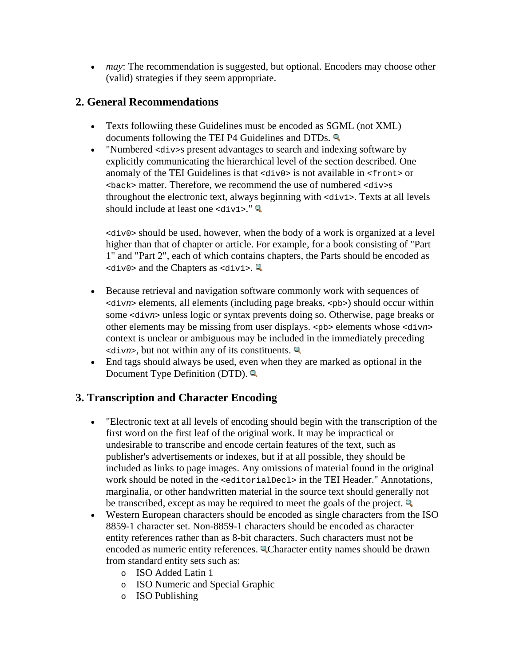• *may*: The recommendation is suggested, but optional. Encoders may choose other (valid) strategies if they seem appropriate.

# **2. General Recommendations**

- Texts followiing these Guidelines must be encoded as SGML (not XML) documents following the TEI P4 Guidelines and DTDs.
- "Numbered <div>s present advantages to search and indexing software by explicitly communicating the hierarchical level of the section described. One anomaly of the TEI Guidelines is that  $\langle \text{div} \circ \phi \rangle$  is not available in  $\langle \text{front} \rangle$  or <back> matter. Therefore, we recommend the use of numbered <div>s throughout the electronic text, always beginning with <div1>. Texts at all levels should include at least one  $\langle \text{div1} \rangle$ ."

<div0> should be used, however, when the body of a work is organized at a level higher than that of chapter or article. For example, for a book consisting of "Part 1" and "Part 2", each of which contains chapters, the Parts should be encoded as  $\langle \text{div0} \rangle$  and the Chapters as  $\langle \text{div1} \rangle$ .

- Because retrieval and navigation software commonly work with sequences of <div*n*> elements, all elements (including page breaks, <pb>) should occur within some <div*n*> unless logic or syntax prevents doing so. Otherwise, page breaks or other elements may be missing from user displays. <pb> elements whose <div*n*> context is unclear or ambiguous may be included in the immediately preceding <div*n*>, but not within any of its constituents.
- End tags should always be used, even when they are marked as optional in the Document Type Definition (DTD).

# **3. Transcription and Character Encoding**

- "Electronic text at all levels of encoding should begin with the transcription of the first word on the first leaf of the original work. It may be impractical or undesirable to transcribe and encode certain features of the text, such as publisher's advertisements or indexes, but if at all possible, they should be included as links to page images. Any omissions of material found in the original work should be noted in the  $\leq$ editorialDecl> in the TEI Header." Annotations, marginalia, or other handwritten material in the source text should generally not be transcribed, except as may be required to meet the goals of the project.
- Western European characters should be encoded as single characters from the ISO 8859-1 character set. Non-8859-1 characters should be encoded as character entity references rather than as 8-bit characters. Such characters must not be encoded as numeric entity references. <sup>Q</sup>Character entity names should be drawn from standard entity sets such as:
	- o ISO Added Latin 1
	- o ISO Numeric and Special Graphic
	- o ISO Publishing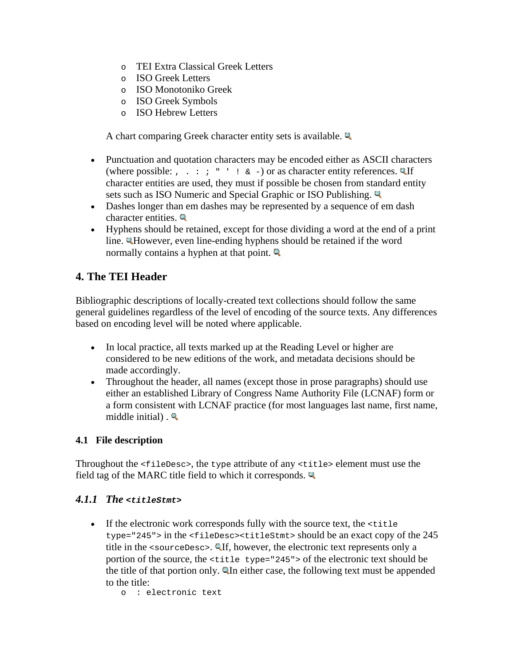- o TEI Extra Classical Greek Letters
- o ISO Greek Letters
- o ISO Monotoniko Greek
- o ISO Greek Symbols
- o ISO Hebrew Letters

A chart comparing Greek character entity sets is available.

- Punctuation and quotation characters may be encoded either as ASCII characters (where possible: , . : ; " ' !  $\& -$ ) or as character entity references. Unit character entities are used, they must if possible be chosen from standard entity sets such as ISO Numeric and Special Graphic or ISO Publishing.
- Dashes longer than em dashes may be represented by a sequence of em dash character entities.
- Hyphens should be retained, except for those dividing a word at the end of a print line. However, even line-ending hyphens should be retained if the word normally contains a hyphen at that point.

# **4. The TEI Header**

Bibliographic descriptions of locally-created text collections should follow the same general guidelines regardless of the level of encoding of the source texts. Any differences based on encoding level will be noted where applicable.

- In local practice, all texts marked up at the Reading Level or higher are considered to be new editions of the work, and metadata decisions should be made accordingly.
- Throughout the header, all names (except those in prose paragraphs) should use either an established Library of Congress Name Authority File (LCNAF) form or a form consistent with LCNAF practice (for most languages last name, first name, middle initial).  $\mathbb{Q}$

# **4.1 File description**

Throughout the <fileDesc>, the type attribute of any <title> element must use the field tag of the MARC title field to which it corresponds.

### *4.1.1 The <titleStmt>*

• If the electronic work corresponds fully with the source text, the <title type="245"> in the <fileDesc><titleStmt> should be an exact copy of the 245 title in the  $\leq$ sourceDesc $\geq$ . If, however, the electronic text represents only a portion of the source, the <title type="245"> of the electronic text should be the title of that portion only.  $\mathbb{Q}$  In either case, the following text must be appended to the title:

o : electronic text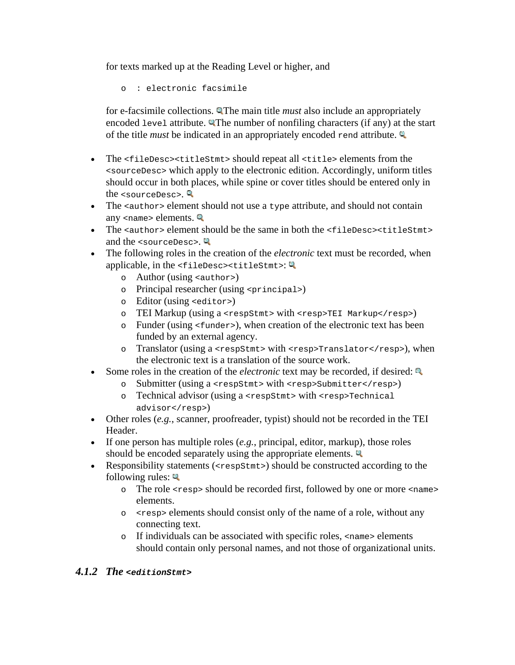for texts marked up at the Reading Level or higher, and

o : electronic facsimile

for e-facsimile collections. **QThe main title** *must* also include an appropriately encoded level attribute. The number of nonfiling characters (if any) at the start of the title *must* be indicated in an appropriately encoded rend attribute.

- The <fileDesc><titleStmt> should repeat all <title> elements from the <sourceDesc> which apply to the electronic edition. Accordingly, uniform titles should occur in both places, while spine or cover titles should be entered only in the  $\langle$ sourceDesc $\rangle$ .
- The <author> element should not use a type attribute, and should not contain any  $\langle$  -name  $>$  elements.
- The  $\epsilon$  authors element should be the same in both the  $\epsilon$  fileDesc  $\epsilon$  stitleStmt  $>$ and the <sourceDesc>.
- The following roles in the creation of the *electronic* text must be recorded, when applicable, in the  $\times$ fileDesc> $\times$ titleStmt>:
	- o Author (using <author>)
	- o Principal researcher (using <principal>)
	- o Editor (using <editor>)
	- o TEI Markup (using a <respStmt> with <resp>TEI Markup</resp>)
	- o Funder (using <funder>), when creation of the electronic text has been funded by an external agency.
	- o Translator (using a <respStmt> with <resp>Translator</resp>), when the electronic text is a translation of the source work.
- Some roles in the creation of the *electronic* text may be recorded, if desired:
	- o Submitter (using a <respStmt> with <resp>Submitter</resp>)
	- o Technical advisor (using a <respStmt> with <resp>Technical advisor</resp>)
- Other roles (*e.g.*, scanner, proofreader, typist) should not be recorded in the TEI Header.
- If one person has multiple roles (*e.g.*, principal, editor, markup), those roles should be encoded separately using the appropriate elements.
- Responsibility statements (<respStmt>) should be constructed according to the following rules:  $\mathbb{Q}$ 
	- o The role <resp> should be recorded first, followed by one or more <name> elements.
	- o <resp> elements should consist only of the name of a role, without any connecting text.
	- o If individuals can be associated with specific roles, <name> elements should contain only personal names, and not those of organizational units.

### *4.1.2 The <editionStmt>*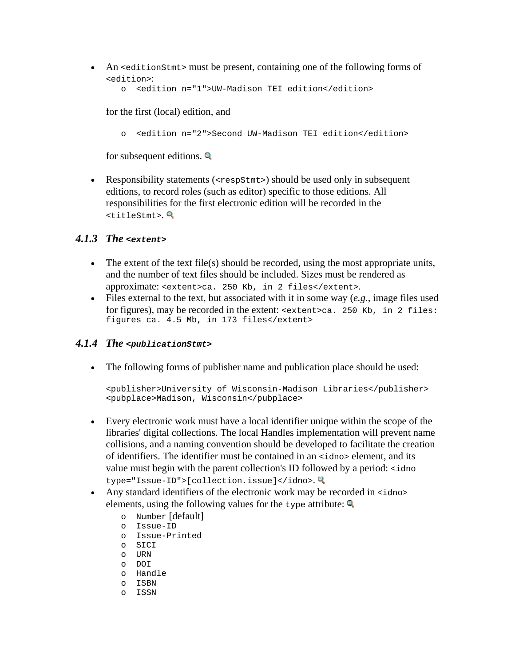• An <editionstmt> must be present, containing one of the following forms of <edition>:

```
o <edition n="1">UW-Madison TEI edition</edition>
```
for the first (local) edition, and

o <edition n="2">Second UW-Madison TEI edition</edition>

for subsequent editions.  $\mathbb{Q}$ 

• Responsibility statements (<respStmt>) should be used only in subsequent editions, to record roles (such as editor) specific to those editions. All responsibilities for the first electronic edition will be recorded in the <titleStmt>.

### *4.1.3 The <extent>*

- The extent of the text file(s) should be recorded, using the most appropriate units, and the number of text files should be included. Sizes must be rendered as approximate: <extent>ca. 250 Kb, in 2 files</extent>.
- Files external to the text, but associated with it in some way (*e.g.*, image files used for figures), may be recorded in the extent: <extent>ca. 250 Kb, in 2 files: figures ca. 4.5 Mb, in 173 files</extent>

### *4.1.4 The <publicationStmt>*

• The following forms of publisher name and publication place should be used:

```
<publisher>University of Wisconsin-Madison Libraries</publisher>
<pubplace>Madison, Wisconsin</pubplace>
```
- Every electronic work must have a local identifier unique within the scope of the libraries' digital collections. The local Handles implementation will prevent name collisions, and a naming convention should be developed to facilitate the creation of identifiers. The identifier must be contained in an <idno> element, and its value must begin with the parent collection's ID followed by a period: <idno type="Issue-ID">[collection.issue]</idno>.
- Any standard identifiers of the electronic work may be recorded in  $\langle$ idno> elements, using the following values for the type attribute:  $\mathbb{Q}$ 
	- o Number [default]
	- o Issue-ID
	- o Issue-Printed
	- o SICI
	- o URN
	- o DOI
	- o Handle
	- o ISBN
	- o ISSN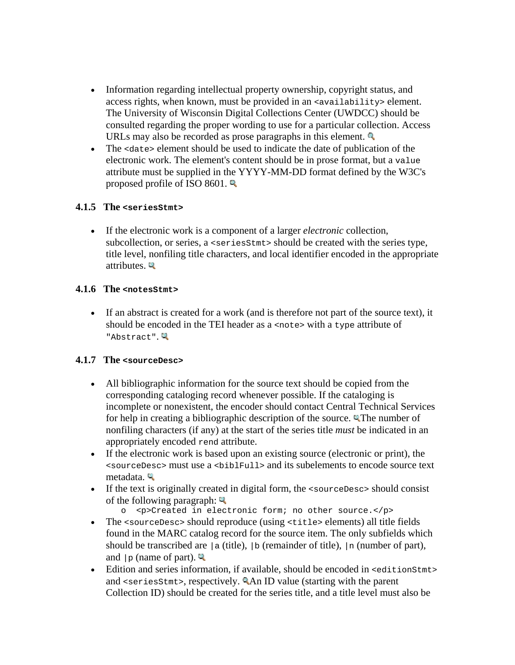- Information regarding intellectual property ownership, copyright status, and access rights, when known, must be provided in an <availability> element. The University of Wisconsin Digital Collections Center (UWDCC) should be consulted regarding the proper wording to use for a particular collection. Access URLs may also be recorded as prose paragraphs in this element.
- The <date> element should be used to indicate the date of publication of the electronic work. The element's content should be in prose format, but a value attribute must be supplied in the YYYY-MM-DD format defined by the W3C's proposed profile of ISO 8601.

### **4.1.5 The <seriesStmt>**

• If the electronic work is a component of a larger *electronic* collection, subcollection, or series, a <seriesStmt> should be created with the series type, title level, nonfiling title characters, and local identifier encoded in the appropriate attributes.

### **4.1.6 The <notesStmt>**

• If an abstract is created for a work (and is therefore not part of the source text), it should be encoded in the TEI header as a  $\epsilon$  note with a type attribute of "Abstract".

### **4.1.7 The <sourceDesc>**

- All bibliographic information for the source text should be copied from the corresponding cataloging record whenever possible. If the cataloging is incomplete or nonexistent, the encoder should contact Central Technical Services for help in creating a bibliographic description of the source. **The number of** nonfiling characters (if any) at the start of the series title *must* be indicated in an appropriately encoded rend attribute.
- If the electronic work is based upon an existing source (electronic or print), the <sourceDesc> must use a <biblFull> and its subelements to encode source text metadata.
- If the text is originally created in digital form, the <sourceDesc> should consist of the following paragraph:  $\mathbb{R}$ 
	- o <p>Created in electronic form; no other source.</p>
- The <sourceDesc> should reproduce (using <title> elements) all title fields found in the MARC catalog record for the source item. The only subfields which should be transcribed are  $|a|$  (title),  $|b|$  (remainder of title),  $|n|$  (number of part), and  $|p|$  (name of part).
- Edition and series information, if available, should be encoded in  $\leq$  editionstmt> and <seriesStmt>, respectively. An ID value (starting with the parent Collection ID) should be created for the series title, and a title level must also be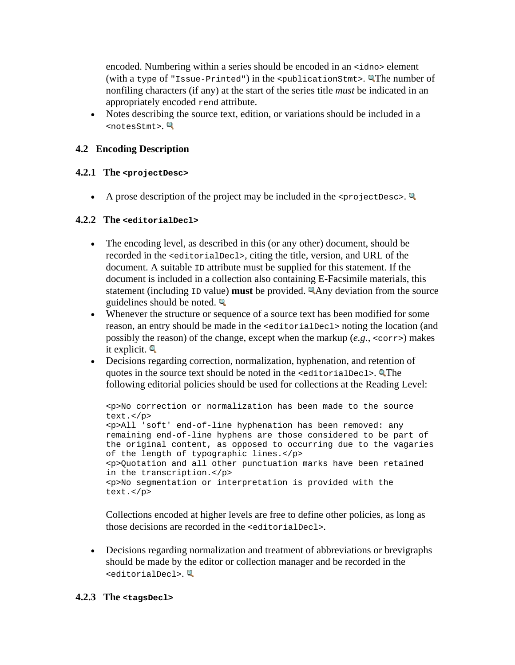encoded. Numbering within a series should be encoded in an <idno> element (with a type of "Issue-Printed") in the  $\epsilon$  publicationStmt>. The number of nonfiling characters (if any) at the start of the series title *must* be indicated in an appropriately encoded rend attribute.

• Notes describing the source text, edition, or variations should be included in a <notesStmt>.

# **4.2 Encoding Description**

### **4.2.1 The <projectDesc>**

• A prose description of the project may be included in the  $\epsilon_{\text{projections}}$ .

### **4.2.2 The <editorialDecl>**

- The encoding level, as described in this (or any other) document, should be recorded in the <editorialDecl>, citing the title, version, and URL of the document. A suitable ID attribute must be supplied for this statement. If the document is included in a collection also containing E-Facsimile materials, this statement (including ID value) **must** be provided. Any deviation from the source guidelines should be noted.  $\mathbb{Q}$
- Whenever the structure or sequence of a source text has been modified for some reason, an entry should be made in the <editorialDecl> noting the location (and possibly the reason) of the change, except when the markup (*e.g.*, <corr>) makes it explicit.
- Decisions regarding correction, normalization, hyphenation, and retention of quotes in the source text should be noted in the <editorialDecl>. The following editorial policies should be used for collections at the Reading Level:

```
<p>No correction or normalization has been made to the source 
text.</p>
<p>All 'soft' end-of-line hyphenation has been removed: any 
remaining end-of-line hyphens are those considered to be part of 
the original content, as opposed to occurring due to the vagaries 
of the length of typographic lines.</p>
<p>Quotation and all other punctuation marks have been retained 
in the transcription.</p>
<p>No segmentation or interpretation is provided with the 
text.</p>
```
Collections encoded at higher levels are free to define other policies, as long as those decisions are recorded in the <editorialDecl>.

• Decisions regarding normalization and treatment of abbreviations or brevigraphs should be made by the editor or collection manager and be recorded in the <editorialDecl>.

### **4.2.3 The <tagsDecl>**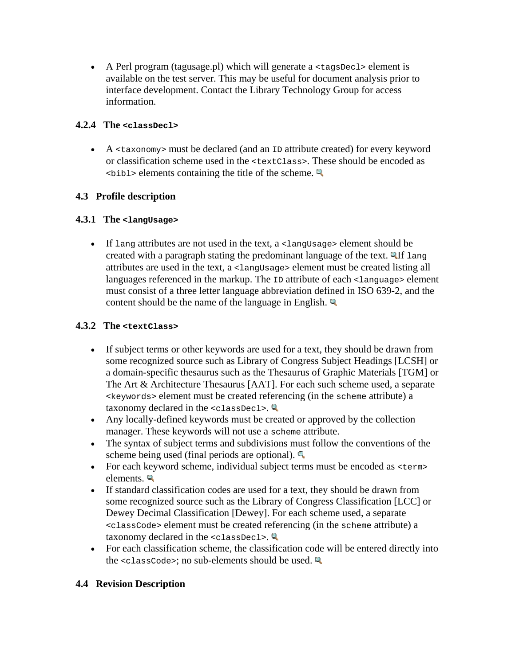• A Perl program (tagusage.pl) which will generate a  $\lt$  tagsDecl  $>$  element is available on the test server. This may be useful for document analysis prior to interface development. Contact the Library Technology Group for access information.

# **4.2.4 The <classDecl>**

• A <taxonomy> must be declared (and an ID attribute created) for every keyword or classification scheme used in the <textClass>. These should be encoded as  $\lt$ bibl> elements containing the title of the scheme.

# **4.3 Profile description**

# **4.3.1 The <langUsage>**

• If lang attributes are not used in the text, a  $\alpha$  -langus age belowerhing below created with a paragraph stating the predominant language of the text. **QIf** lang attributes are used in the text, a <langUsage> element must be created listing all languages referenced in the markup. The ID attribute of each <language> element must consist of a three letter language abbreviation defined in ISO 639-2, and the content should be the name of the language in English.  $\mathbb{Q}$ 

### **4.3.2 The <textClass>**

- If subject terms or other keywords are used for a text, they should be drawn from some recognized source such as Library of Congress Subject Headings [LCSH] or a domain-specific thesaurus such as the Thesaurus of Graphic Materials [TGM] or The Art & Architecture Thesaurus [AAT]. For each such scheme used, a separate <keywords> element must be created referencing (in the scheme attribute) a taxonomy declared in the  $<$ classDecl>.
- Any locally-defined keywords must be created or approved by the collection manager. These keywords will not use a scheme attribute.
- The syntax of subject terms and subdivisions must follow the conventions of the scheme being used (final periods are optional).
- For each keyword scheme, individual subject terms must be encoded as <term> elements.
- If standard classification codes are used for a text, they should be drawn from some recognized source such as the Library of Congress Classification [LCC] or Dewey Decimal Classification [Dewey]. For each scheme used, a separate <classCode> element must be created referencing (in the scheme attribute) a taxonomy declared in the  $\leq$ classDecl>.
- For each classification scheme, the classification code will be entered directly into the  $<$ classCode>; no sub-elements should be used.

### **4.4 Revision Description**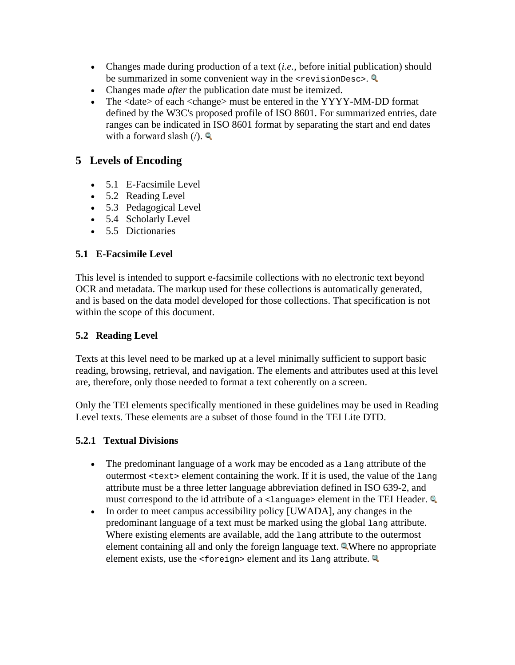- Changes made during production of a text (*i.e.*, before initial publication) should be summarized in some convenient way in the <revisionDesc>.
- Changes made *after* the publication date must be itemized.
- The <date> of each <change> must be entered in the YYYY-MM-DD format defined by the W3C's proposed profile of ISO 8601. For summarized entries, date ranges can be indicated in ISO 8601 format by separating the start and end dates with a forward slash  $($ ).

# **5 Levels of Encoding**

- 5.1 E-Facsimile Level
- 5.2 Reading Level
- 5.3 Pedagogical Level
- 5.4 Scholarly Level
- 5.5 Dictionaries

# **5.1 E-Facsimile Level**

This level is intended to support e-facsimile collections with no electronic text beyond OCR and metadata. The markup used for these collections is automatically generated, and is based on the data model developed for those collections. That specification is not within the scope of this document.

### **5.2 Reading Level**

Texts at this level need to be marked up at a level minimally sufficient to support basic reading, browsing, retrieval, and navigation. The elements and attributes used at this level are, therefore, only those needed to format a text coherently on a screen.

Only the TEI elements specifically mentioned in these guidelines may be used in Reading Level texts. These elements are a subset of those found in the TEI Lite DTD.

### **5.2.1 Textual Divisions**

- The predominant language of a work may be encoded as a lang attribute of the outermost <text> element containing the work. If it is used, the value of the lang attribute must be a three letter language abbreviation defined in ISO 639-2, and must correspond to the id attribute of a  $\leq$  language element in the TEI Header.
- In order to meet campus accessibility policy [UWADA], any changes in the predominant language of a text must be marked using the global lang attribute. Where existing elements are available, add the lang attribute to the outermost element containing all and only the foreign language text. Where no appropriate element exists, use the  $\leq$  foreign> element and its lang attribute.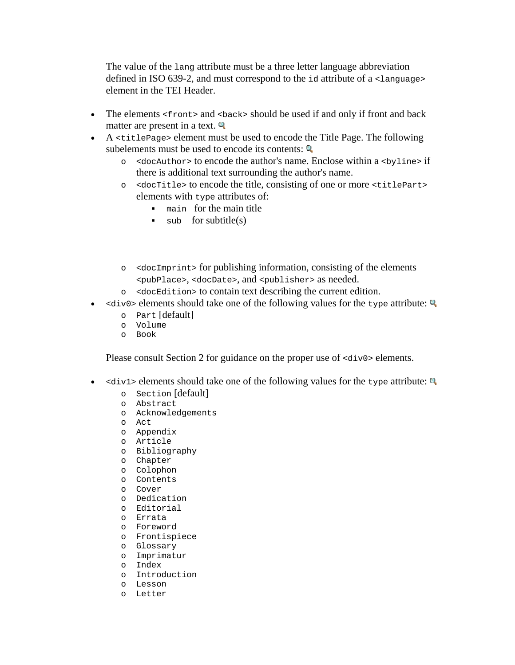The value of the lang attribute must be a three letter language abbreviation defined in ISO 639-2, and must correspond to the id attribute of a <language> element in the TEI Header.

- The elements  $\langle$  front  $>$  and  $\langle$  back  $>$  should be used if and only if front and back matter are present in a text.  $\mathbb{Q}$
- A <titlePage> element must be used to encode the Title Page. The following subelements must be used to encode its contents:  $\mathbb{Q}$ 
	- o <docAuthor> to encode the author's name. Enclose within a <byline> if there is additional text surrounding the author's name.
	- o <docTitle> to encode the title, consisting of one or more <titlePart> elements with type attributes of:
		- main for the main title
		- $\bullet$  sub for subtitle(s)
	- o <docImprint> for publishing information, consisting of the elements <pubPlace>, <docDate>, and <publisher> as needed.
	- o <docEdition> to contain text describing the current edition.
- $\langle \text{div0} \rangle$  elements should take one of the following values for the type attribute:
	- o Part [default]
	- o Volume
	- o Book

Please consult Section 2 for guidance on the proper use of  $\langle \text{div} \, 0 \rangle$  elements.

- $\leq$   $\leq$   $\leq$   $\leq$   $\leq$   $\leq$   $\leq$   $\leq$   $\leq$   $\leq$   $\leq$   $\leq$   $\leq$   $\leq$   $\leq$   $\leq$   $\leq$   $\leq$   $\leq$   $\leq$   $\leq$   $\leq$   $\leq$   $\leq$   $\leq$   $\leq$   $\leq$   $\leq$   $\leq$   $\leq$   $\leq$   $\leq$   $\leq$   $\leq$   $\leq$   $\leq$   $\le$ 
	- o Section [default]
	- o Abstract
	- o Acknowledgements
	- o Act
	- o Appendix
	- o Article
	- o Bibliography
	- o Chapter
	- o Colophon
	- o Contents
	- o Cover
	- o Dedication
	- o Editorial
	- o Errata
	- o Foreword
	- o Frontispiece
	- o Glossary
	- o Imprimatur
	- o Index
	- o Introduction
	- o Lesson
	- o Letter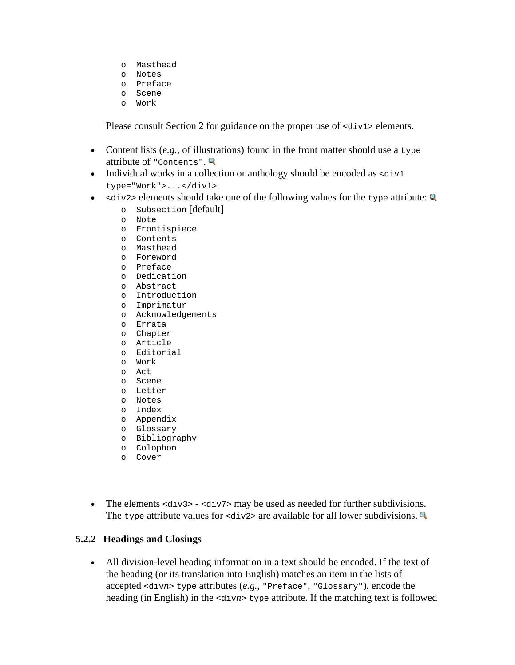- o Masthead
- o Notes
- o Preface
- o Scene
- o Work

Please consult Section 2 for guidance on the proper use of  $\langle \text{div1} \rangle$  elements.

- Content lists (*e.g.*, of illustrations) found in the front matter should use a type attribute of "Contents".
- Individual works in a collection or anthology should be encoded as  $\langle \text{div} 1 \rangle$ type="Work">...</div1>.
- $\lt div2$  elements should take one of the following values for the type attribute:
	- o Subsection [default]
	- o Note
	- o Frontispiece
	- o Contents
	- o Masthead
	- o Foreword
	- o Preface
	- o Dedication
	- o Abstract
	- o Introduction
	- o Imprimatur
	- o Acknowledgements
	- o Errata
	- o Chapter
	- o Article
	- o Editorial
	- o Work o Act
	-
	- o Scene
	- o Letter
	- o Notes
	- o Index o Appendix
	- o Glossary
	- o Bibliography
	- o Colophon
	- o Cover
- The elements  $\langle \text{div} 3 \rangle$   $\langle \text{div} 7 \rangle$  may be used as needed for further subdivisions. The type attribute values for  $\langle \text{div2} \rangle$  are available for all lower subdivisions.

### **5.2.2 Headings and Closings**

• All division-level heading information in a text should be encoded. If the text of the heading (or its translation into English) matches an item in the lists of accepted <div*n*> type attributes (*e.g.*, "Preface", "Glossary"), encode the heading (in English) in the <div*n*> type attribute. If the matching text is followed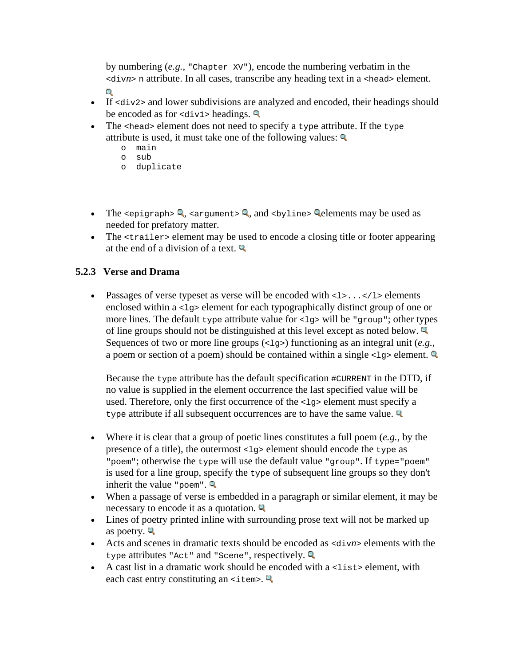by numbering (*e.g.*, "Chapter XV"), encode the numbering verbatim in the <div*n*> n attribute. In all cases, transcribe any heading text in a <head> element. Ō.

- If  $\langle \text{div2} \rangle$  and lower subdivisions are analyzed and encoded, their headings should be encoded as for  $\langle \text{div1} \rangle$  headings.
- The  $\epsilon$  head > element does not need to specify a type attribute. If the type attribute is used, it must take one of the following values:
	- o main
	- o sub
	- o duplicate
- The  $\epsilon$ epigraph>  $\mathbb{Q}$ ,  $\epsilon$ argument>  $\mathbb{Q}$ , and  $\epsilon$ byline>  $\mathbb{Q}$  elements may be used as needed for prefatory matter.
- The strailer below the used to encode a closing title or footer appearing at the end of a division of a text.  $\mathbb{Q}$

# **5.2.3 Verse and Drama**

• Passages of verse typeset as verse will be encoded with  $\langle 1 \rangle$ ... $\langle 1 \rangle$  elements enclosed within a  $\langle 1q \rangle$  element for each typographically distinct group of one or more lines. The default type attribute value for  $\langle \log \cdot \rangle$  will be "group"; other types of line groups should not be distinguished at this level except as noted below. Sequences of two or more line groups (<1q>) functioning as an integral unit (*e.g.*, a poem or section of a poem) should be contained within a single  $\langle 1g \rangle$  element.

Because the  $type$  attribute has the default specification  $\#CURENT$  in the DTD, if no value is supplied in the element occurrence the last specified value will be used. Therefore, only the first occurrence of the <lg> element must specify a type attribute if all subsequent occurrences are to have the same value.

- Where it is clear that a group of poetic lines constitutes a full poem (*e.g.*, by the presence of a title), the outermost  $\langle 1q \rangle$  element should encode the type as "poem"; otherwise the type will use the default value "group". If type="poem" is used for a line group, specify the type of subsequent line groups so they don't inherit the value "poem".
- When a passage of verse is embedded in a paragraph or similar element, it may be necessary to encode it as a quotation.
- Lines of poetry printed inline with surrounding prose text will not be marked up as poetry.  $\blacksquare$
- Acts and scenes in dramatic texts should be encoded as <div*n*> elements with the type attributes "Act" and "Scene", respectively.
- A cast list in a dramatic work should be encoded with a  $\lt$  list  $\gt$  element, with each cast entry constituting an  $\leq$  tem  $\leq$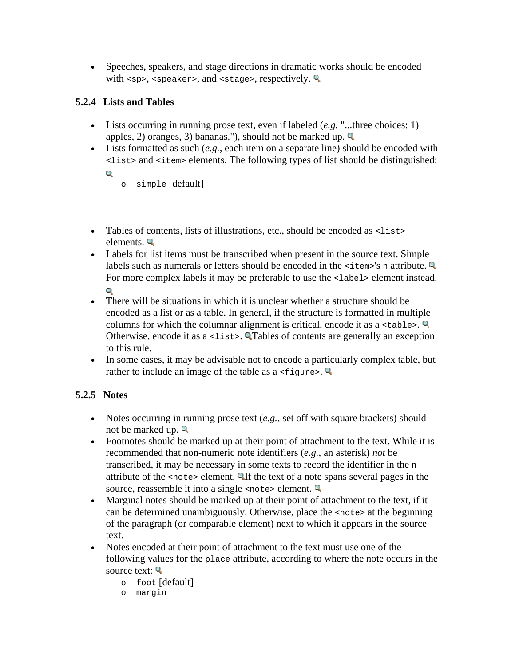• Speeches, speakers, and stage directions in dramatic works should be encoded with <sp>, <speaker>, and <stage>, respectively.

# **5.2.4 Lists and Tables**

- Lists occurring in running prose text, even if labeled (*e.g.* "...three choices: 1) apples, 2) oranges, 3) bananas."), should not be marked up.
- Lists formatted as such (*e.g.*, each item on a separate line) should be encoded with <list> and <item> elements. The following types of list should be distinguished:
	- Q.
- o simple [default]
- Tables of contents, lists of illustrations, etc., should be encoded as <list> elements.
- Labels for list items must be transcribed when present in the source text. Simple labels such as numerals or letters should be encoded in the  $\leq$  tem-'s n attribute. For more complex labels it may be preferable to use the <label> element instead. G.
- There will be situations in which it is unclear whether a structure should be encoded as a list or as a table. In general, if the structure is formatted in multiple columns for which the columnar alignment is critical, encode it as a  $\lt$ table>. Otherwise, encode it as a <list>. **QTables** of contents are generally an exception to this rule.
- In some cases, it may be advisable not to encode a particularly complex table, but rather to include an image of the table as  $a \leq f$ iqure>.

# **5.2.5 Notes**

- Notes occurring in running prose text (*e.g.*, set off with square brackets) should not be marked up.
- Footnotes should be marked up at their point of attachment to the text. While it is recommended that non-numeric note identifiers (*e.g.*, an asterisk) *not* be transcribed, it may be necessary in some texts to record the identifier in the n attribute of the <note> element. If the text of a note spans several pages in the source, reassemble it into a single <note> element.
- Marginal notes should be marked up at their point of attachment to the text, if it can be determined unambiguously. Otherwise, place the <note> at the beginning of the paragraph (or comparable element) next to which it appears in the source text.
- Notes encoded at their point of attachment to the text must use one of the following values for the place attribute, according to where the note occurs in the source text:
	- o foot [default]
	- o margin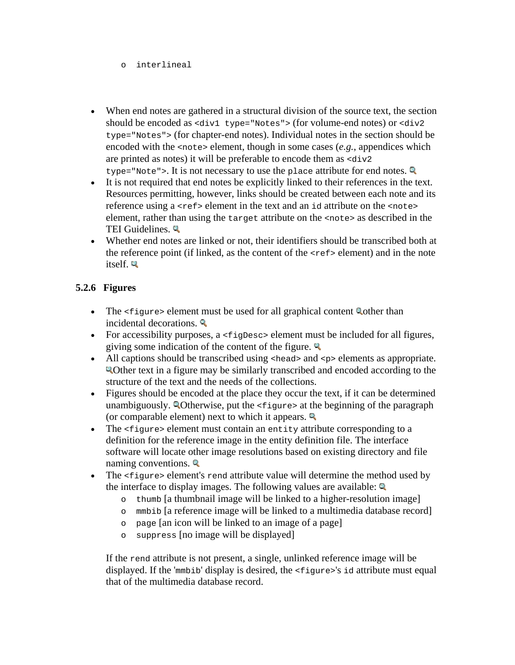#### o interlineal

- When end notes are gathered in a structural division of the source text, the section should be encoded as <div1 type="Notes"> (for volume-end notes) or <div2 type="Notes"> (for chapter-end notes). Individual notes in the section should be encoded with the <note> element, though in some cases (*e.g.*, appendices which are printed as notes) it will be preferable to encode them as  $\langle \text{div} \rangle$ type="Note">. It is not necessary to use the place attribute for end notes.  $\mathbb{Q}$
- It is not required that end notes be explicitly linked to their references in the text. Resources permitting, however, links should be created between each note and its reference using a  $\langle$ ref> element in the text and an id attribute on the  $\langle$ note> element, rather than using the target attribute on the <note> as described in the TEI Guidelines.
- Whether end notes are linked or not, their identifiers should be transcribed both at the reference point (if linked, as the content of the <ref> element) and in the note itself.

### **5.2.6 Figures**

- The  $\langle$  figure> element must be used for all graphical content Q other than incidental decorations.
- For accessibility purposes, a <figDesc> element must be included for all figures, giving some indication of the content of the figure.  $\mathbb{Q}$
- All captions should be transcribed using  $\langle \text{head} \rangle$  and  $\langle \text{p} \rangle$  elements as appropriate. Other text in a figure may be similarly transcribed and encoded according to the structure of the text and the needs of the collections.
- Figures should be encoded at the place they occur the text, if it can be determined unambiguously. Otherwise, put the <figure> at the beginning of the paragraph (or comparable element) next to which it appears.  $\blacksquare$
- The  $\langle$  figure> element must contain an entity attribute corresponding to a definition for the reference image in the entity definition file. The interface software will locate other image resolutions based on existing directory and file naming conventions.
- The <figure> element's rend attribute value will determine the method used by the interface to display images. The following values are available:  $Q$ 
	- o thumb [a thumbnail image will be linked to a higher-resolution image]
	- o mmbib [a reference image will be linked to a multimedia database record]
	- o page [an icon will be linked to an image of a page]
	- o suppress [no image will be displayed]

If the rend attribute is not present, a single, unlinked reference image will be displayed. If the 'mmbib' display is desired, the <figure>'s id attribute must equal that of the multimedia database record.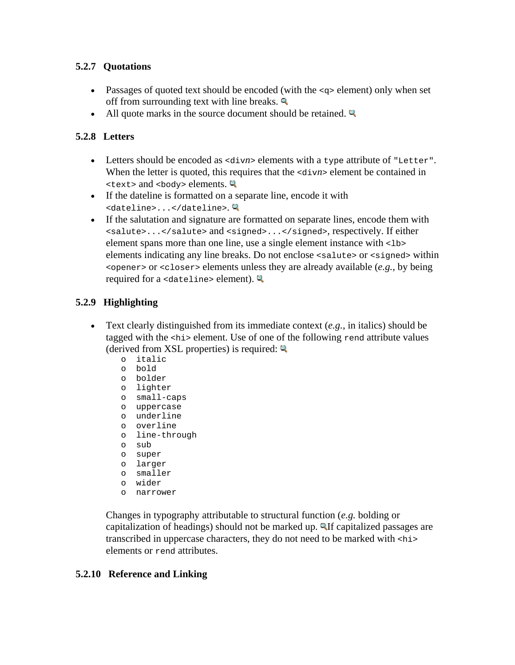# **5.2.7 Quotations**

- Passages of quoted text should be encoded (with the  $\langle \varphi \rangle$  element) only when set off from surrounding text with line breaks.  $\blacksquare$
- All quote marks in the source document should be retained.

# **5.2.8 Letters**

- Letters should be encoded as  $\langle \text{div} \rangle$  elements with a type attribute of "Letter". When the letter is quoted, this requires that the  $\langle \text{div} n \rangle$  element be contained in  $\text{ text> and } \text{ body> elements.}$
- If the dateline is formatted on a separate line, encode it with <dateline>...</dateline>.
- If the salutation and signature are formatted on separate lines, encode them with <salute>...</salute> and <signed>...</signed>, respectively. If either element spans more than one line, use a single element instance with <lb> elements indicating any line breaks. Do not enclose <salute> or <signed> within <opener> or <closer> elements unless they are already available (*e.g.*, by being required for a <dateline> element).

# **5.2.9 Highlighting**

- Text clearly distinguished from its immediate context (*e.g.*, in italics) should be tagged with the <hi> element. Use of one of the following rend attribute values (derived from XSL properties) is required:  $\blacksquare$ 
	- o italic
	- o bold
	- o bolder
	- o lighter
	- o small-caps
	- o uppercase
	- o underline
	- o overline
	- o line-through
	- o sub
	- o super
	- o larger
	- o smaller
	- o wider
	- o narrower

Changes in typography attributable to structural function (*e.g.* bolding or capitalization of headings) should not be marked up. **Alfeed constrained passages are** transcribed in uppercase characters, they do not need to be marked with <hi> elements or rend attributes.

# **5.2.10 Reference and Linking**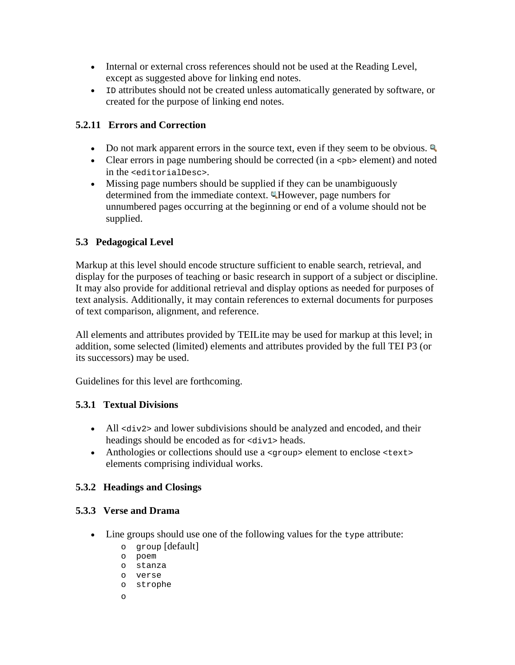- Internal or external cross references should not be used at the Reading Level, except as suggested above for linking end notes.
- ID attributes should not be created unless automatically generated by software, or created for the purpose of linking end notes.

# **5.2.11 Errors and Correction**

- Do not mark apparent errors in the source text, even if they seem to be obvious.
- Clear errors in page numbering should be corrected (in a  $\langle$ -pb> element) and noted in the <editorialDesc>.
- Missing page numbers should be supplied if they can be unambiguously determined from the immediate context. However, page numbers for unnumbered pages occurring at the beginning or end of a volume should not be supplied.

# **5.3 Pedagogical Level**

Markup at this level should encode structure sufficient to enable search, retrieval, and display for the purposes of teaching or basic research in support of a subject or discipline. It may also provide for additional retrieval and display options as needed for purposes of text analysis. Additionally, it may contain references to external documents for purposes of text comparison, alignment, and reference.

All elements and attributes provided by TEILite may be used for markup at this level; in addition, some selected (limited) elements and attributes provided by the full TEI P3 (or its successors) may be used.

Guidelines for this level are forthcoming.

# **5.3.1 Textual Divisions**

- All <div2> and lower subdivisions should be analyzed and encoded, and their headings should be encoded as for  $\langle \text{div1} \rangle$  heads.
- Anthologies or collections should use a  $\langle q_{\text{row}} \rangle$  element to enclose  $\langle \text{text} \rangle$ elements comprising individual works.

# **5.3.2 Headings and Closings**

### **5.3.3 Verse and Drama**

- Line groups should use one of the following values for the type attribute:
	- o group [default]
	- o poem
	- o stanza
	- o verse
	- o strophe
	- o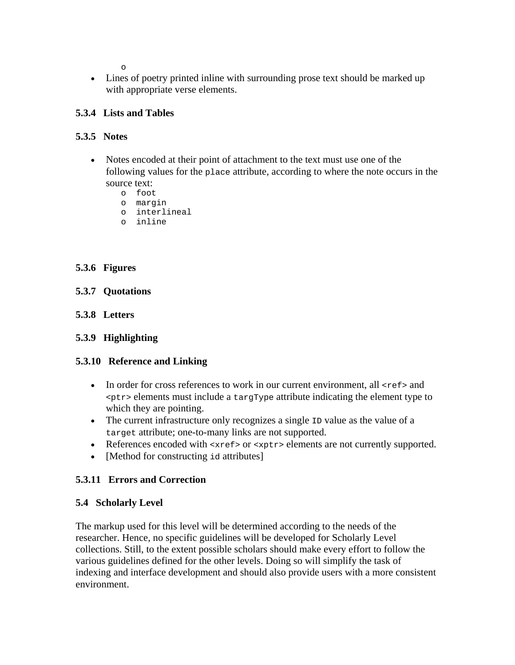o

• Lines of poetry printed inline with surrounding prose text should be marked up with appropriate verse elements.

### **5.3.4 Lists and Tables**

### **5.3.5 Notes**

- Notes encoded at their point of attachment to the text must use one of the following values for the place attribute, according to where the note occurs in the source text:
	- o foot
	- o margin
	- o interlineal
	- o inline

# **5.3.6 Figures**

- **5.3.7 Quotations**
- **5.3.8 Letters**
- **5.3.9 Highlighting**

### **5.3.10 Reference and Linking**

- In order for cross references to work in our current environment, all  $\leq$ ref> and <ptr> elements must include a targType attribute indicating the element type to which they are pointing.
- The current infrastructure only recognizes a single ID value as the value of a target attribute; one-to-many links are not supported.
- References encoded with <xref> or <xptr> elements are not currently supported.
- [Method for constructing id attributes]

# **5.3.11 Errors and Correction**

### **5.4 Scholarly Level**

The markup used for this level will be determined according to the needs of the researcher. Hence, no specific guidelines will be developed for Scholarly Level collections. Still, to the extent possible scholars should make every effort to follow the various guidelines defined for the other levels. Doing so will simplify the task of indexing and interface development and should also provide users with a more consistent environment.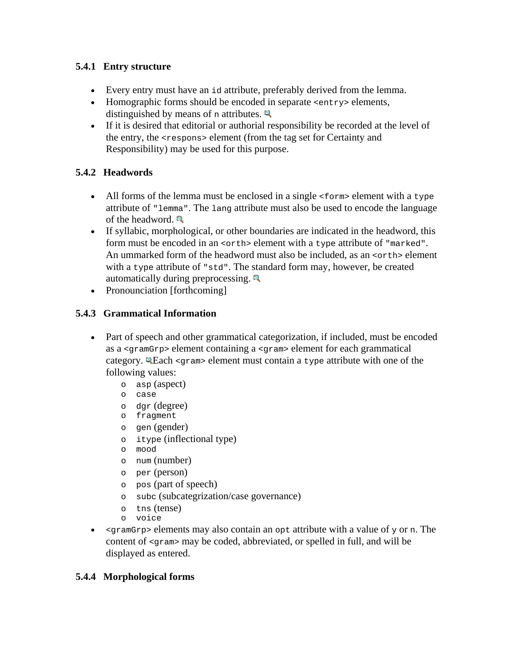# **5.4.1 Entry structure**

- Every entry must have an id attribute, preferably derived from the lemma.
- Homographic forms should be encoded in separate <entry> elements, distinguished by means of n attributes.  $\Box$
- If it is desired that editorial or authorial responsibility be recorded at the level of the entry, the <respons> element (from the tag set for Certainty and Responsibility) may be used for this purpose.

# **5.4.2 Headwords**

- All forms of the lemma must be enclosed in a single  $<$  forms element with a type attribute of "lemma". The lang attribute must also be used to encode the language of the headword.
- If syllabic, morphological, or other boundaries are indicated in the headword, this form must be encoded in an  $\prec$ orth> element with a type attribute of "marked". An ummarked form of the headword must also be included, as an <orth> element with a type attribute of "std". The standard form may, however, be created automatically during preprocessing.  $\Box$
- Pronounciation [forthcoming]

# **5.4.3 Grammatical Information**

- Part of speech and other grammatical categorization, if included, must be encoded as a <gramGrp> element containing a <gram> element for each grammatical category. Each <gram> element must contain a type attribute with one of the following values:
	- o asp (aspect)
	- o case
	- o dgr (degree)
	- o fragment
	- o gen (gender)
	- o itype (inflectional type)
	- o mood
	- o num (number)
	- o per (person)
	- o pos (part of speech)
	- o subc (subcategrization/case governance)
	- o tns (tense)
	- o voice
- $\epsilon$  <  $\epsilon$  <  $\epsilon$  =  $\epsilon$  are  $\epsilon$  =  $\epsilon$  attribute with a value of y or n. The content of <gram> may be coded, abbreviated, or spelled in full, and will be displayed as entered.

### **5.4.4 Morphological forms**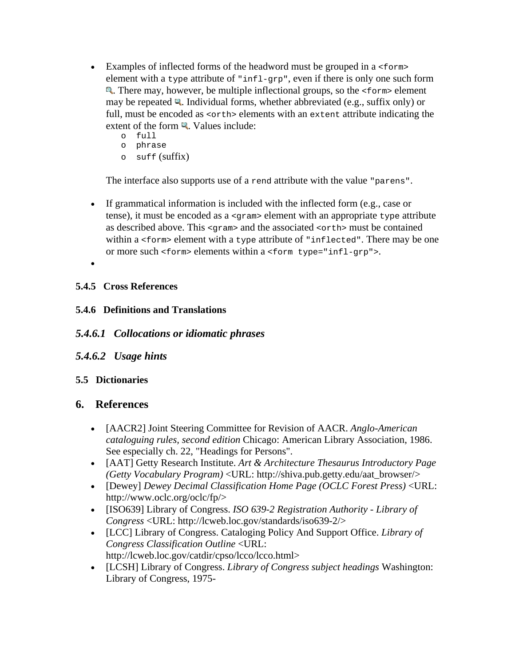- Examples of inflected forms of the headword must be grouped in a  $<$  form> element with a type attribute of "infl-grp", even if there is only one such form . There may, however, be multiple inflectional groups, so the <form> element may be repeated  $\mathbb{Q}$ . Individual forms, whether abbreviated (e.g., suffix only) or full, must be encoded as  $\langle \text{orth} \rangle$  elements with an extent attribute indicating the extent of the form  $\mathbb{R}$ . Values include:
	- o full
	- o phrase
	- $\circ$  suff (suffix)

The interface also supports use of a rend attribute with the value "parens".

- If grammatical information is included with the inflected form (e.g., case or tense), it must be encoded as a <gram> element with an appropriate type attribute as described above. This <gram> and the associated <orth> must be contained within a <form> element with a type attribute of "inflected". There may be one or more such <form> elements within a <form type="infl-grp">.
- •

# **5.4.5 Cross References**

**5.4.6 Definitions and Translations** 

# *5.4.6.1 Collocations or idiomatic phrases*

*5.4.6.2 Usage hints* 

# **5.5 Dictionaries**

# **6. References**

- [AACR2] Joint Steering Committee for Revision of AACR. *Anglo-American cataloguing rules, second edition* Chicago: American Library Association, 1986. See especially ch. 22, "Headings for Persons".
- [AAT] Getty Research Institute. *Art & Architecture Thesaurus Introductory Page (Getty Vocabulary Program)* <URL: http://shiva.pub.getty.edu/aat\_browser/>
- [Dewey] *Dewey Decimal Classification Home Page (OCLC Forest Press)* <URL: http://www.oclc.org/oclc/fp/>
- [ISO639] Library of Congress. *ISO 639-2 Registration Authority Library of Congress* <URL: http://lcweb.loc.gov/standards/iso639-2/>
- [LCC] Library of Congress. Cataloging Policy And Support Office. *Library of Congress Classification Outline* <URL: http://lcweb.loc.gov/catdir/cpso/lcco/lcco.html>
- [LCSH] Library of Congress. *Library of Congress subject headings* Washington: Library of Congress, 1975-